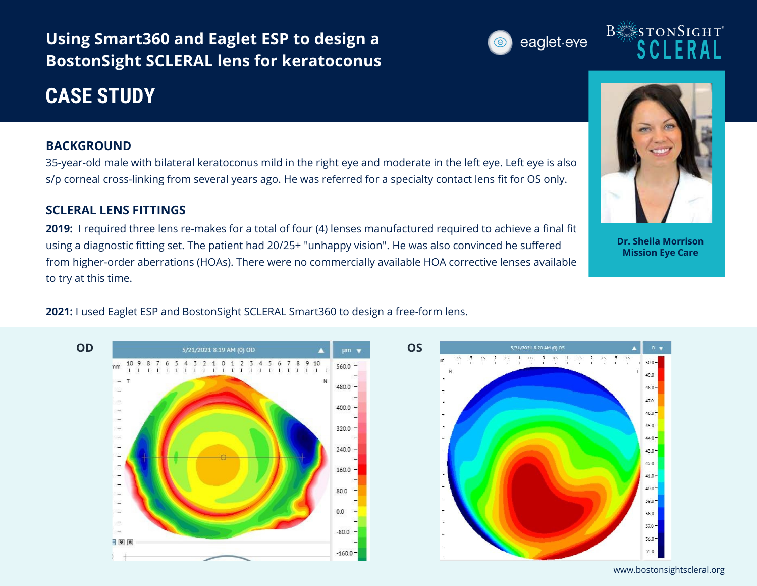**Using Smart360 and Eaglet ESP to design a BostonSight SCLERAL lens for keratoconus**

# **CASE STUDY**

### **BACKGROUND**

35-year-old male with bilateral keratoconus mild in the right eye and moderate in the left eye. Left eye is also s/p corneal cross-linking from several years ago. He was referred for a specialty contact lens fit for OS only.

### **SCLERAL LENS FITTINGS**

**2019:** I required three lens re-makes for a total of four (4) lenses manufactured required to achieve a final fit using a diagnostic fitting set. The patient had 20/25+ "unhappy vision". He was also convinced he suffered from higher-order aberrations (HOAs). There were no commercially available HOA corrective lenses available to try at this time.

## **2021:** I used Eaglet ESP and BostonSight SCLERAL Smart360 to design a free-form lens.





**Dr. Sheila Morrison Mission Eye Care**